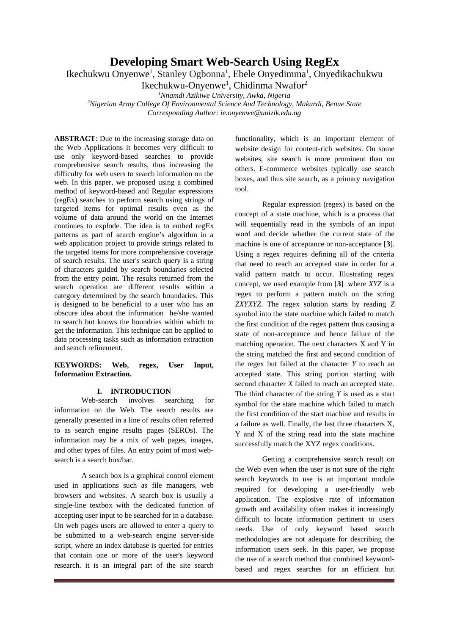## **Developing Smart Web-Search Using RegEx**

Ikechukwu Onyenwe<sup>1</sup>, Stanley Ogbonna<sup>1</sup>, Ebele Onyedimma<sup>1</sup>, Onyedikachukwu

Ikechukwu-Onyenwe<sup>1</sup>, Chidinma Nwafor<sup>2</sup>

*<sup>1</sup>Nnamdi Azikiwe University, Awka, Nigeria*

*<sup>2</sup>Nigerian Army College Of Environmental Science And Technology, Makurdi, Benue State Corresponding Author: ie.onyenwe@unizik.edu.ng*

**ABSTRACT**: Due to the increasing storage data on the Web Applications it becomes very difficult to use only keyword-based searches to provide comprehensive search results, thus increasing the difficulty for web users to search information on the web. In this paper, we proposed using a combined method of keyword-based and Regular expressions (regEx) searches to perform search using strings of targeted items for optimal results even as the volume of data around the world on the Internet continues to explode. The idea is to embed regEx patterns as part of search engine's algorithm in a web application project to provide strings related to the targeted items for more comprehensive coverage of search results. The user's search query is a string of characters guided by search boundaries selected from the entry point. The results returned from the search operation are different results within a category determined by the search boundaries. This is designed to be beneficial to a user who has an obscure idea about the information he/she wanted to search but knows the boundries within which to get the information. This technique can be applied to data processing tasks such as information extraction and search refinement.

### **KEYWORDS: Web, regex, User Input, Information Extraction.**

### **I. INTRODUCTION**

Web-search involves searching for information on the Web. The search results are generally presented in a line of results often referred to as search engine results pages (SEROs). The information may be a mix of web pages, images, and other types of files. An entry point of most websearch is a search box/bar.

A search box is a graphical control element used in applications such as file managers, web browsers and websites. A search box is usually a single-line textbox with the dedicated function of accepting user input to be searched for in a database. On web pages users are allowed to enter a query to be submitted to a web-search engine server-side script, where an index database is queried for entries that contain one or more of the user's keyword research. it is an integral part of the site search functionality, which is an important element of website design for content-rich websites. On some websites, site search is more prominent than on others. E-commerce websites typically use search boxes, and thus site search, as a primary navigation tool.

Regular expression (regex) is based on the concept of a state machine, which is a process that will sequentially read in the symbols of an input word and decide whether the current state of the machine is one of acceptance or non-acceptance [**3**]. Using a regex requires defining all of the criteria that need to reach an accepted state in order for a valid pattern match to occur. Illustrating regex concept, we used example from [**3**] where *XYZ* is a regex to perform a pattern match on the string *ZXYXYZ*. The regex solution starts by reading *Z* symbol into the state machine which failed to match the first condition of the regex pattern thus causing a state of non-acceptance and hence failure of the matching operation. The next characters X and Y in the string matched the first and second condition of the regex but failed at the character *Y* to reach an accepted state. This string portion starting with second character *X* failed to reach an accepted state. The third character of the string *Y* is used as a start symbol for the state machine which failed to match the first condition of the start machine and results in a failure as well. Finally, the last three characters X, Y and X of the string read into the state machine successfully match the XYZ regex conditions.

Getting a comprehensive search result on the Web even when the user is not sure of the right search keywords to use is an important module required for developing a user-friendly web application. The explosive rate of information growth and availability often makes it increasingly difficult to locate information pertinent to users needs. Use of only keyword based search methodologies are not adequate for describing the information users seek. In this paper, we propose the use of a search method that combined keywordbased and regex searches for an efficient but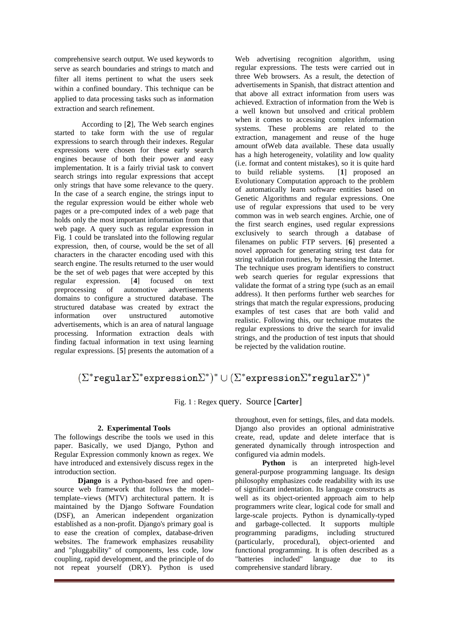comprehensive search output. We used keywords to serve as search boundaries and strings to match and filter all items pertinent to what the users seek within a confined boundary. This technique can be applied to data processing tasks such as information extraction and search refinement.

According to [**2**], The Web search engines started to take form with the use of regular expressions to search through their indexes. Regular expressions were chosen for these early search engines because of both their power and easy implementation. It is a fairly trivial task to convert search strings into regular expressions that accept only strings that have some relevance to the query. In the case of a search engine, the strings input to the regular expression would be either whole web pages or a pre-computed index of a web page that holds only the most important information from that web page. A query such as regular expression in Fig. 1 could be translated into the following regular expression, then, of course, would be the set of all characters in the character encoding used with this search engine. The results returned to the user would be the set of web pages that were accepted by this regular expression. [**4**] focused on text preprocessing of automotive advertisements domains to configure a structured database. The structured database was created by extract the information over unstructured automotive advertisements, which is an area of natural language processing. Information extraction deals with finding factual information in text using learning regular expressions. [**5**] presents the automation of a Web advertising recognition algorithm, using regular expressions. The tests were carried out in three Web browsers. As a result, the detection of advertisements in Spanish, that distract attention and that above all extract information from users was achieved. Extraction of information from the Web is a well known but unsolved and critical problem when it comes to accessing complex information systems. These problems are related to the extraction, management and reuse of the huge amount ofWeb data available. These data usually has a high heterogeneity, volatility and low quality (i.e. format and content mistakes), so it is quite hard to build reliable systems. [**1**] proposed an Evolutionary Computation approach to the problem of automatically learn software entities based on Genetic Algorithms and regular expressions. One use of regular expressions that used to be very common was in web search engines. Archie, one of the first search engines, used regular expressions exclusively to search through a database of filenames on public FTP servers. [**6**] presented a novel approach for generating string test data for string validation routines, by harnessing the Internet. The technique uses program identifiers to construct web search queries for regular expressions that validate the format of a string type (such as an email address). It then performs further web searches for strings that match the regular expressions, producing examples of test cases that are both valid and realistic. Following this, our technique mutates the regular expressions to drive the search for invalid strings, and the production of test inputs that should be rejected by the validation routine.

# $(\Sigma^*$ regular $\Sigma^*$ expression $\Sigma^*)^* \cup (\Sigma^*$ expression $\Sigma^*$ regular $\Sigma^*)^*$

Fig. 1 : Regex query. Source [**Carter**]

### **2. Experimental Tools**

The followings describe the tools we used in this paper. Basically, we used Django, Python and Regular Expression commonly known as regex. We have introduced and extensively discuss regex in the introduction section.

**Django** is a [Python](https://en.wikipedia.org/wiki/Python_(programming_language))-based free and opensource web framework that follows the model– template–views (MTV) [architectural pattern.](https://en.wikipedia.org/wiki/Architectural_pattern_(computer_science)) It is maintained by the Django Software Foundation (DSF), an American independent organization established as a non-profit. Django's primary goal is to ease the creation of complex, database-driven websites. The framework emphasizes reusability and "pluggability" of components, less code, low coupling, rapid development, and the principle of do not repeat yourself (DRY). Python is used throughout, even for settings, files, and data models. Django also provides an optional administrative create, read, update and delete interface that is generated dynamically through introspection and configured via admin models.

**Python** is an interpreted high-level general-purpose programming language. Its design philosophy emphasizes code readability with its use of significant indentation. Its language constructs as well as its object-oriented approach aim to help programmers write clear, logical code for small and large-scale projects. Python is dynamically-typed and [garbage-collected](https://en.wikipedia.org/wiki/Garbage_collection_(computer_science)). It supports multiple programming paradigms, including structured (particularly, procedural), object-oriented and functional programming. It is often described as a "batteries included" language due to its comprehensive standard library.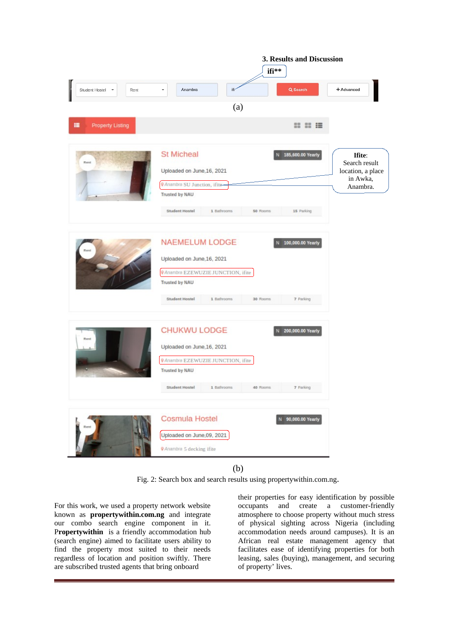|                              | 3. Results and Discussion<br>ifi**                                                                                                                                            |                                                                                                         |
|------------------------------|-------------------------------------------------------------------------------------------------------------------------------------------------------------------------------|---------------------------------------------------------------------------------------------------------|
|                              |                                                                                                                                                                               |                                                                                                         |
| Student Hostel<br>Rent<br>٠  | Anambra<br>ifi-                                                                                                                                                               | Q Search<br>+ Advanced                                                                                  |
|                              | (a)                                                                                                                                                                           |                                                                                                         |
| <b>Property Listing</b><br>疆 |                                                                                                                                                                               | <b>22 22 28</b>                                                                                         |
| Rent                         | <b>St Micheal</b><br>Uploaded on June, 16, 2021<br><b>V</b> Anambra SU Junction, if ite<br>Trusted by NAU<br>Student Hostel<br>1 Bathrooms<br>50 Rooms                        | 185,600.00 Yearly<br>Ifite:<br>Search result<br>location, a place<br>in Awka,<br>Anambra.<br>15 Parking |
|                              | <b>NAEMELUM LODGE</b><br>Uploaded on June, 16, 2021<br><b>Q</b> Anambra EZEWUZIE JUNCTION, ifite<br><b>Trusted by NAU</b><br><b>Student Hostel</b><br>1 Bathrooms<br>30 Rooms | 100,000.00 Yearly<br>7 Parking                                                                          |
| Rent                         | <b>CHUKWU LODGE</b><br>Uploaded on June, 16, 2021<br><b>9</b> Anambra EZEWUZIE JUNCTION, ifite<br><b>Trusted by NAU</b><br><b>Student Hostel</b><br>1 Bathrooms<br>40 Rooms   | 200,000.00 Yearly<br>7 Parking                                                                          |
| Rent                         | <b>Cosmula Hostel</b><br>Uploaded on June,09, 2021<br><b>9</b> Anambra 5 decking ifite                                                                                        | N 90,000.00 Yearly                                                                                      |

(b)

Fig. 2: Search box and search results using propertywithin.com.ng.

For this work, we used a property network website known as **propertywithin.com.ng** and integrate our combo search engine component in it. Propertywithin is a friendly accommodation hub (search engine) aimed to facilitate users ability to find the property most suited to their needs regardless of location and position swiftly. There are subscribed trusted agents that bring onboard

their properties for easy identification by possible occupants and create a customer-friendly atmosphere to choose property without much stress of physical sighting across Nigeria (including accommodation needs around campuses). It is an African real estate management agency that facilitates ease of identifying properties for both leasing, sales (buying), management, and securing of property' lives.